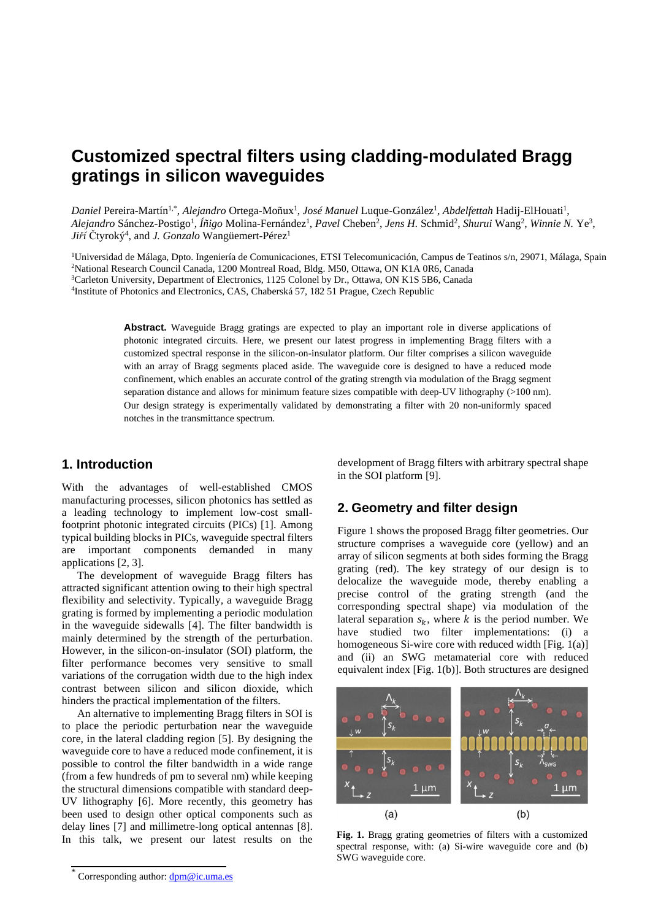# **Customized spectral filters using cladding-modulated Bragg gratings in silicon waveguides**

*Daniel* Pereira-Martín<sup>1,\*</sup>, *Alejandro* Ortega-Moñux<sup>1</sup>, *José Manuel* Luque-González<sup>1</sup>, *Abdelfettah* Hadij-ElHouati<sup>1</sup>, Alejandro Sánchez-Postigo<sup>1</sup>, Íñigo Molina-Fernández<sup>1</sup>, Pavel Cheben<sup>2</sup>, Jens H. Schmid<sup>2</sup>, Shurui Wang<sup>2</sup>, Winnie N. Ye<sup>3</sup>, *Jiří* Čtyroký<sup>4</sup> , and *J. Gonzalo* Wangüemert-Pérez<sup>1</sup>

<sup>1</sup>Universidad de Málaga, Dpto. Ingeniería de Comunicaciones, ETSI Telecomunicación, Campus de Teatinos s/n, 29071, Málaga, Spain National Research Council Canada, 1200 Montreal Road, Bldg. M50, Ottawa, ON K1A 0R6, Canada Carleton University, Department of Electronics, 1125 Colonel by Dr., Ottawa, ON K1S 5B6, Canada Institute of Photonics and Electronics, CAS, Chaberská 57, 182 51 Prague, Czech Republic

**Abstract.** Waveguide Bragg gratings are expected to play an important role in diverse applications of photonic integrated circuits. Here, we present our latest progress in implementing Bragg filters with a customized spectral response in the silicon-on-insulator platform. Our filter comprises a silicon waveguide with an array of Bragg segments placed aside. The waveguide core is designed to have a reduced mode confinement, which enables an accurate control of the grating strength via modulation of the Bragg segment separation distance and allows for minimum feature sizes compatible with deep-UV lithography (>100 nm). Our design strategy is experimentally validated by demonstrating a filter with 20 non-uniformly spaced notches in the transmittance spectrum.

## **1. Introduction**

With the advantages of well-established CMOS manufacturing processes, silicon photonics has settled as a leading technology to implement low-cost smallfootprint photonic integrated circuits (PICs) [1]. Among typical building blocks in PICs, waveguide spectral filters are important components demanded in many applications [2, 3].

The development of waveguide Bragg filters has attracted significant attention owing to their high spectral flexibility and selectivity. Typically, a waveguide Bragg grating is formed by implementing a periodic modulation in the waveguide sidewalls [4]. The filter bandwidth is mainly determined by the strength of the perturbation. However, in the silicon-on-insulator (SOI) platform, the filter performance becomes very sensitive to small variations of the corrugation width due to the high index contrast between silicon and silicon dioxide, which hinders the practical implementation of the filters.

An alternative to implementing Bragg filters in SOI is to place the periodic perturbation near the waveguide core, in the lateral cladding region [5]. By designing the waveguide core to have a reduced mode confinement, it is possible to control the filter bandwidth in a wide range (from a few hundreds of pm to several nm) while keeping the structural dimensions compatible with standard deep-UV lithography [6]. More recently, this geometry has been used to design other optical components such as delay lines [7] and millimetre-long optical antennas [8]. In this talk, we present our latest results on the

development of Bragg filters with arbitrary spectral shape in the SOI platform [9].

# **2. Geometry and filter design**

Figure 1 shows the proposed Bragg filter geometries. Our structure comprises a waveguide core (yellow) and an array of silicon segments at both sides forming the Bragg grating (red). The key strategy of our design is to delocalize the waveguide mode, thereby enabling a precise control of the grating strength (and the corresponding spectral shape) via modulation of the lateral separation  $s_k$ , where k is the period number. We have studied two filter implementations: (i) a homogeneous Si-wire core with reduced width [Fig. 1(a)] and (ii) an SWG metamaterial core with reduced equivalent index [Fig. 1(b)]. Both structures are designed



**Fig. 1.** Bragg grating geometries of filters with a customized spectral response, with: (a) Si-wire waveguide core and (b) SWG waveguide core.

<sup>\*</sup> Corresponding author: dpm@ic.uma.es